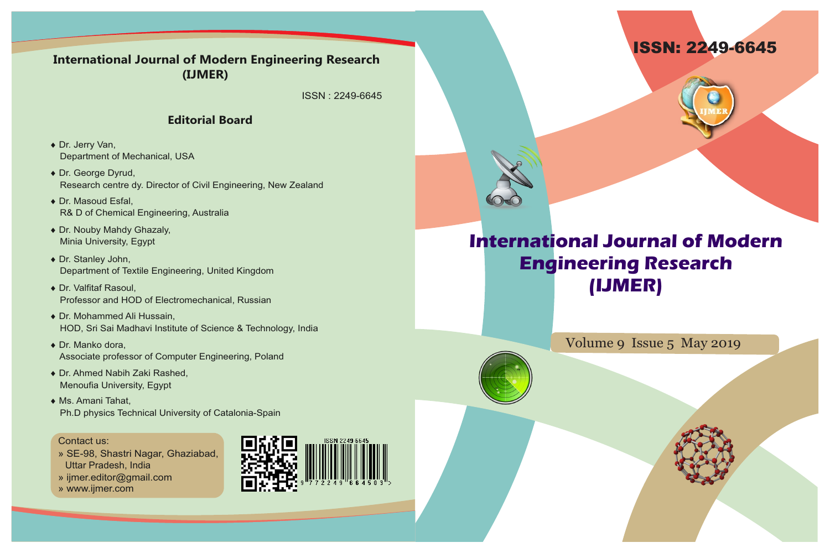



## **International Journal of Modern Engineering Research (IJMER)**

Volume 9 Issue 5 May 2019

## **International Journal of Modern Engineering Research (IJMER)**

ISSN : 2249-6645

### **Editorial Board**

- ◆ Dr. Jerry Van, Department of Mechanical, USA
- ◆ Dr. George Dyrud, Research centre dy. Director of Civil Engineering, New Zealand
- ◆ Dr. Masoud Esfal, R& D of Chemical Engineering, Australia
- ◆ Dr. Nouby Mahdy Ghazaly, Minia University, Egypt
- ◆ Dr. Stanley John, Department of Textile Engineering, United Kingdom
- ◆ Dr. Valfitaf Rasoul, Professor and HOD of Electromechanical, Russian
- ◆ Dr. Mohammed Ali Hussain, HOD, Sri Sai Madhavi Institute of Science & Technology, India
- $\bullet$  Dr. Manko dora, Associate professor of Computer Engineering, Poland
- ◆ Dr. Ahmed Nabih Zaki Rashed, Menoufia University, Egypt
- ◆ Ms. Amani Tahat, Ph.D physics Technical University of Catalonia-Spain

#### Contact us:

- » SE-98, Shastri Nagar, Ghaziabad, Uttar Pradesh, India
- » ijmer.editor@gmail.com
- » www.ijmer.com